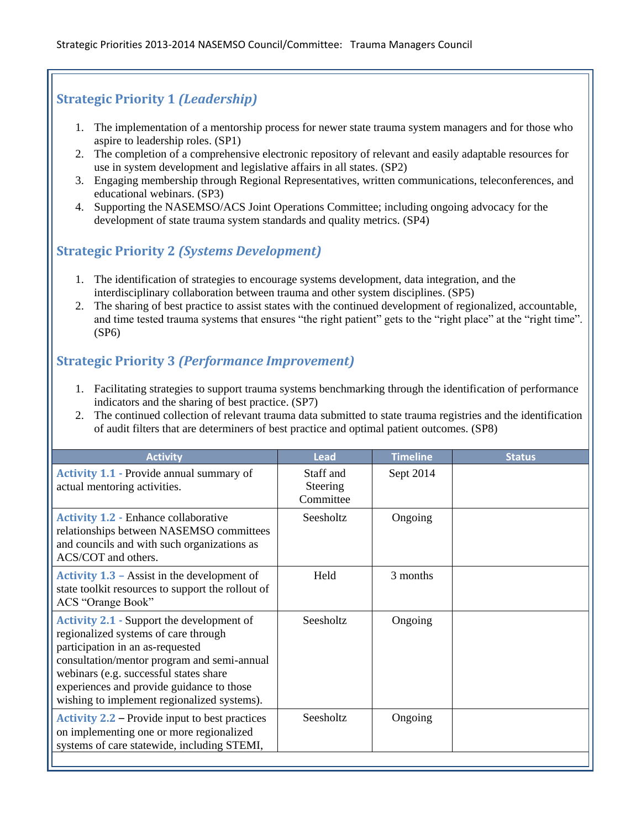## **Strategic Priority 1** *(Leadership)*

- 1. The implementation of a mentorship process for newer state trauma system managers and for those who aspire to leadership roles. (SP1)
- 2. The completion of a comprehensive electronic repository of relevant and easily adaptable resources for use in system development and legislative affairs in all states. (SP2)
- 3. Engaging membership through Regional Representatives, written communications, teleconferences, and educational webinars. (SP3)
- 4. Supporting the NASEMSO/ACS Joint Operations Committee; including ongoing advocacy for the development of state trauma system standards and quality metrics. (SP4)

## **Strategic Priority 2** *(Systems Development)*

- 1. The identification of strategies to encourage systems development, data integration, and the interdisciplinary collaboration between trauma and other system disciplines. (SP5)
- 2. The sharing of best practice to assist states with the continued development of regionalized, accountable, and time tested trauma systems that ensures "the right patient" gets to the "right place" at the "right time". (SP6)

## **Strategic Priority 3** *(Performance Improvement)*

- 1. Facilitating strategies to support trauma systems benchmarking through the identification of performance indicators and the sharing of best practice. (SP7)
- 2. The continued collection of relevant trauma data submitted to state trauma registries and the identification of audit filters that are determiners of best practice and optimal patient outcomes. (SP8)

| <b>Activity</b>                                                                                                                                                                                                                                                                                                   | <b>Lead</b>                        | <b>Timeline</b> | <b>Status</b> |
|-------------------------------------------------------------------------------------------------------------------------------------------------------------------------------------------------------------------------------------------------------------------------------------------------------------------|------------------------------------|-----------------|---------------|
| <b>Activity 1.1 - Provide annual summary of</b><br>actual mentoring activities.                                                                                                                                                                                                                                   | Staff and<br>Steering<br>Committee | Sept 2014       |               |
| <b>Activity 1.2 - Enhance collaborative</b><br>relationships between NASEMSO committees<br>and councils and with such organizations as<br>ACS/COT and others.                                                                                                                                                     | Seesholtz                          | Ongoing         |               |
| Activity $1.3$ – Assist in the development of<br>state toolkit resources to support the rollout of<br>ACS "Orange Book"                                                                                                                                                                                           | Held                               | 3 months        |               |
| <b>Activity 2.1 - Support the development of</b><br>regionalized systems of care through<br>participation in an as-requested<br>consultation/mentor program and semi-annual<br>webinars (e.g. successful states share<br>experiences and provide guidance to those<br>wishing to implement regionalized systems). | Seesholtz                          | Ongoing         |               |
| <b>Activity 2.2 – Provide input to best practices</b><br>on implementing one or more regionalized<br>systems of care statewide, including STEMI,                                                                                                                                                                  | Seesholtz                          | Ongoing         |               |